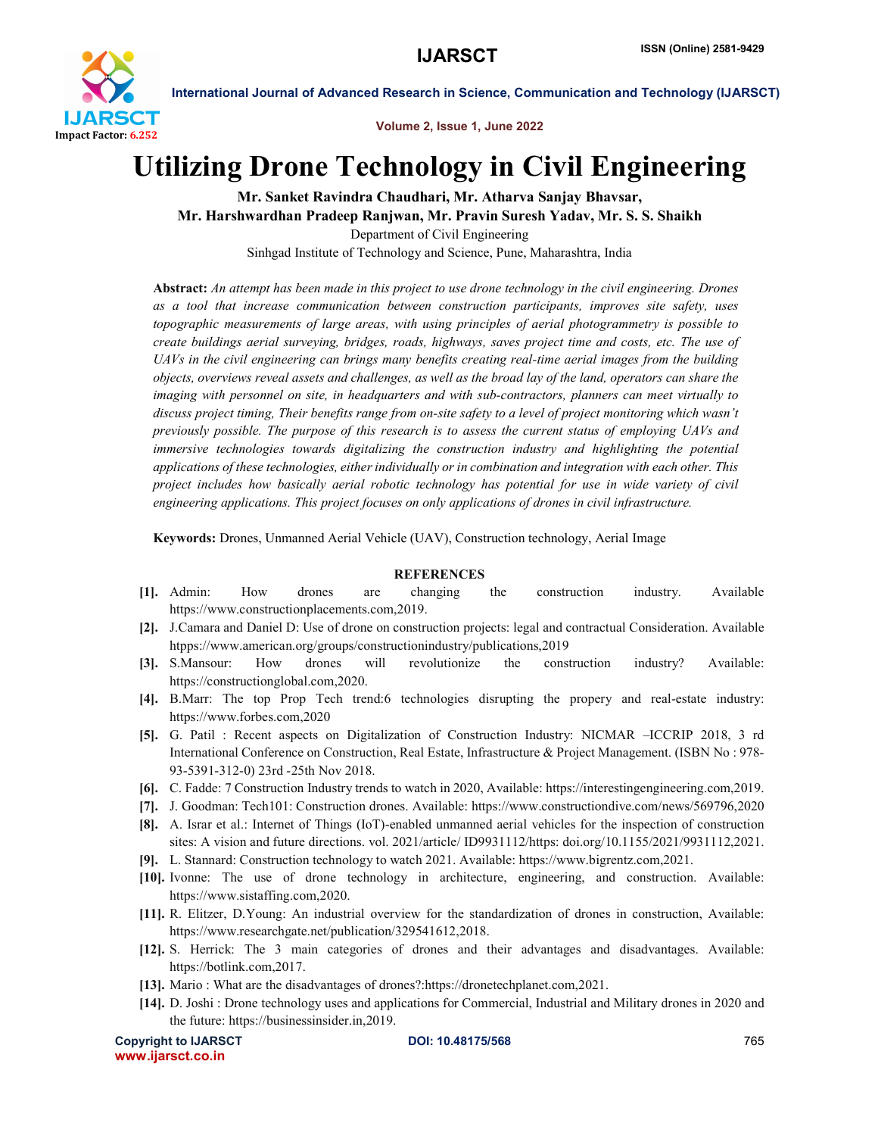

International Journal of Advanced Research in Science, Communication and Technology (IJARSCT)

Volume 2, Issue 1, June 2022

## Utilizing Drone Technology in Civil Engineering

Mr. Sanket Ravindra Chaudhari, Mr. Atharva Sanjay Bhavsar, Mr. Harshwardhan Pradeep Ranjwan, Mr. Pravin Suresh Yadav, Mr. S. S. Shaikh Department of Civil Engineering

Sinhgad Institute of Technology and Science, Pune, Maharashtra, India

Abstract: *An attempt has been made in this project to use drone technology in the civil engineering. Drones as a tool that increase communication between construction participants, improves site safety, uses topographic measurements of large areas, with using principles of aerial photogrammetry is possible to create buildings aerial surveying, bridges, roads, highways, saves project time and costs, etc. The use of UAVs in the civil engineering can brings many benefits creating real-time aerial images from the building objects, overviews reveal assets and challenges, as well as the broad lay of the land, operators can share the imaging with personnel on site, in headquarters and with sub-contractors, planners can meet virtually to discuss project timing, Their benefits range from on-site safety to a level of project monitoring which wasn't previously possible. The purpose of this research is to assess the current status of employing UAVs and immersive technologies towards digitalizing the construction industry and highlighting the potential applications of these technologies, either individually or in combination and integration with each other. This project includes how basically aerial robotic technology has potential for use in wide variety of civil engineering applications. This project focuses on only applications of drones in civil infrastructure.*

Keywords: Drones, Unmanned Aerial Vehicle (UAV), Construction technology, Aerial Image

## **REFERENCES**

- [1]. Admin: How drones are changing the construction industry. Available https://www.constructionplacements.com,2019.
- [2]. J.Camara and Daniel D: Use of drone on construction projects: legal and contractual Consideration. Available htpps://www.american.org/groups/constructionindustry/publications,2019
- [3]. S.Mansour: How drones will revolutionize the construction industry? Available: https://constructionglobal.com,2020.
- [4]. B.Marr: The top Prop Tech trend:6 technologies disrupting the propery and real-estate industry: https://www.forbes.com,2020
- [5]. G. Patil : Recent aspects on Digitalization of Construction Industry: NICMAR –ICCRIP 2018, 3 rd International Conference on Construction, Real Estate, Infrastructure & Project Management. (ISBN No : 978- 93-5391-312-0) 23rd -25th Nov 2018.
- [6]. C. Fadde: 7 Construction Industry trends to watch in 2020, Available: https://interestingengineering.com,2019.
- [7]. J. Goodman: Tech101: Construction drones. Available: https://www.constructiondive.com/news/569796,2020
- [8]. A. Israr et al.: Internet of Things (IoT)-enabled unmanned aerial vehicles for the inspection of construction sites: A vision and future directions. vol. 2021/article/ ID9931112/https: doi.org/10.1155/2021/9931112,2021.
- [9]. L. Stannard: Construction technology to watch 2021. Available: https://www.bigrentz.com,2021.
- [10]. Ivonne: The use of drone technology in architecture, engineering, and construction. Available: https://www.sistaffing.com,2020.
- [11]. R. Elitzer, D.Young: An industrial overview for the standardization of drones in construction, Available: https://www.researchgate.net/publication/329541612,2018.
- [12]. S. Herrick: The 3 main categories of drones and their advantages and disadvantages. Available: https://botlink.com,2017.
- [13]. Mario : What are the disadvantages of drones?:https://dronetechplanet.com,2021.
- [14]. D. Joshi : Drone technology uses and applications for Commercial, Industrial and Military drones in 2020 and the future: https://businessinsider.in,2019.

```
Copyright to IJARSCT DOI: 10.48175/568 POI: 10.48175/568 POI: 10.48175/568
www.ijarsct.co.in
```